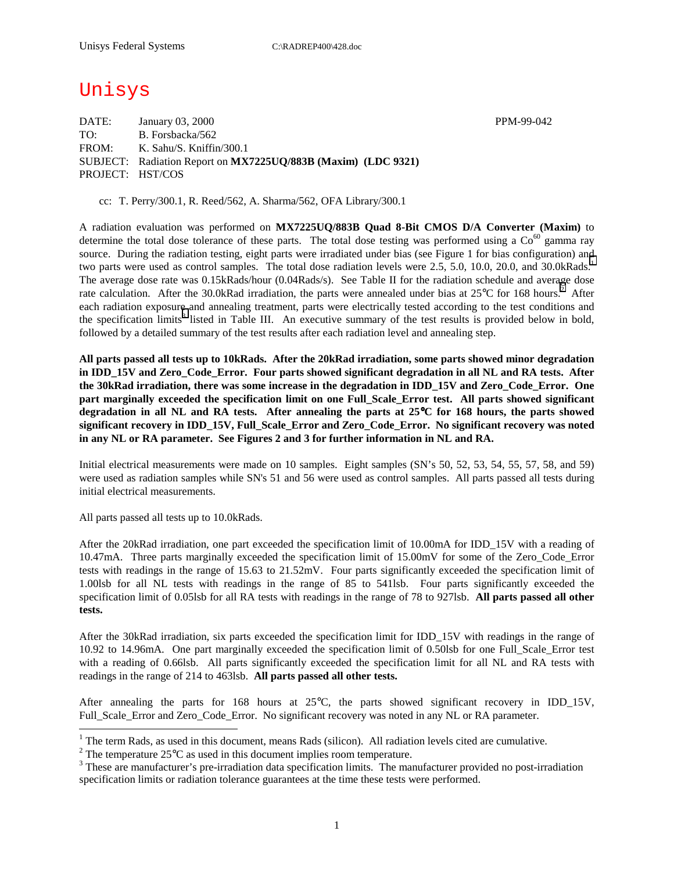# Unisys

DATE: January 03, 2000 **PPM-99-042** TO: B. Forsbacka/562 FROM: K. Sahu/S. Kniffin/300.1 SUBJECT: Radiation Report on **MX7225UQ/883B (Maxim) (LDC 9321)** PROJECT: HST/COS

cc: T. Perry/300.1, R. Reed/562, A. Sharma/562, OFA Library/300.1

A radiation evaluation was performed on **MX7225UQ/883B Quad 8-Bit CMOS D/A Converter (Maxim)** to determine the total dose tolerance of these parts. The total dose testing was performed using a  $\text{Co}^{60}$  gamma ray source. During the radiation testing, eight parts were irradiated under bias (see Figure 1 for bias configuration) and two parts were used as control samples. The total dose radiation levels were 2.5, 5.0, 10.0, 20.0, and 30.0kRads.<sup>1</sup> The average dose rate was 0.15kRads/hour (0.04Rads/s). See Table II for the radiation schedule and average dose rate calculation. After the 30.0kRad irradiation, the parts were annealed under bias at  $25^{\circ}$ C for 168 hours.<sup>2</sup> After each radiation exposure and annealing treatment, parts were electrically tested according to the test conditions and the specification limits<sup>3</sup> listed in Table III. An executive summary of the test results is provided below in bold, followed by a detailed summary of the test results after each radiation level and annealing step.

**All parts passed all tests up to 10kRads. After the 20kRad irradiation, some parts showed minor degradation in IDD\_15V and Zero\_Code\_Error. Four parts showed significant degradation in all NL and RA tests. After the 30kRad irradiation, there was some increase in the degradation in IDD\_15V and Zero\_Code\_Error. One part marginally exceeded the specification limit on one Full\_Scale\_Error test. All parts showed significant degradation in all NL and RA tests. After annealing the parts at 25**°**C for 168 hours, the parts showed significant recovery in IDD\_15V, Full\_Scale\_Error and Zero\_Code\_Error. No significant recovery was noted in any NL or RA parameter. See Figures 2 and 3 for further information in NL and RA.** 

Initial electrical measurements were made on 10 samples. Eight samples (SN's 50, 52, 53, 54, 55, 57, 58, and 59) were used as radiation samples while SN's 51 and 56 were used as control samples. All parts passed all tests during initial electrical measurements.

All parts passed all tests up to 10.0kRads.

 $\overline{a}$ 

After the 20kRad irradiation, one part exceeded the specification limit of 10.00mA for IDD\_15V with a reading of 10.47mA. Three parts marginally exceeded the specification limit of 15.00mV for some of the Zero\_Code\_Error tests with readings in the range of 15.63 to 21.52mV. Four parts significantly exceeded the specification limit of 1.00lsb for all NL tests with readings in the range of 85 to 541lsb. Four parts significantly exceeded the specification limit of 0.05lsb for all RA tests with readings in the range of 78 to 927lsb. **All parts passed all other tests.**

After the 30kRad irradiation, six parts exceeded the specification limit for IDD\_15V with readings in the range of 10.92 to 14.96mA. One part marginally exceeded the specification limit of 0.50lsb for one Full\_Scale\_Error test with a reading of 0.66lsb. All parts significantly exceeded the specification limit for all NL and RA tests with readings in the range of 214 to 463lsb. **All parts passed all other tests.**

After annealing the parts for 168 hours at 25°C, the parts showed significant recovery in IDD\_15V, Full\_Scale\_Error and Zero\_Code\_Error. No significant recovery was noted in any NL or RA parameter.

<sup>&</sup>lt;sup>1</sup> The term Rads, as used in this document, means Rads (silicon). All radiation levels cited are cumulative.

<sup>&</sup>lt;sup>2</sup> The temperature 25 $^{\circ}$ C as used in this document implies room temperature.  $^3$  These are manufacturer's are irrediction date apositionism limits. The manufacturer's

<sup>&</sup>lt;sup>3</sup> These are manufacturer's pre-irradiation data specification limits. The manufacturer provided no post-irradiation specification limits or radiation tolerance guarantees at the time these tests were performed.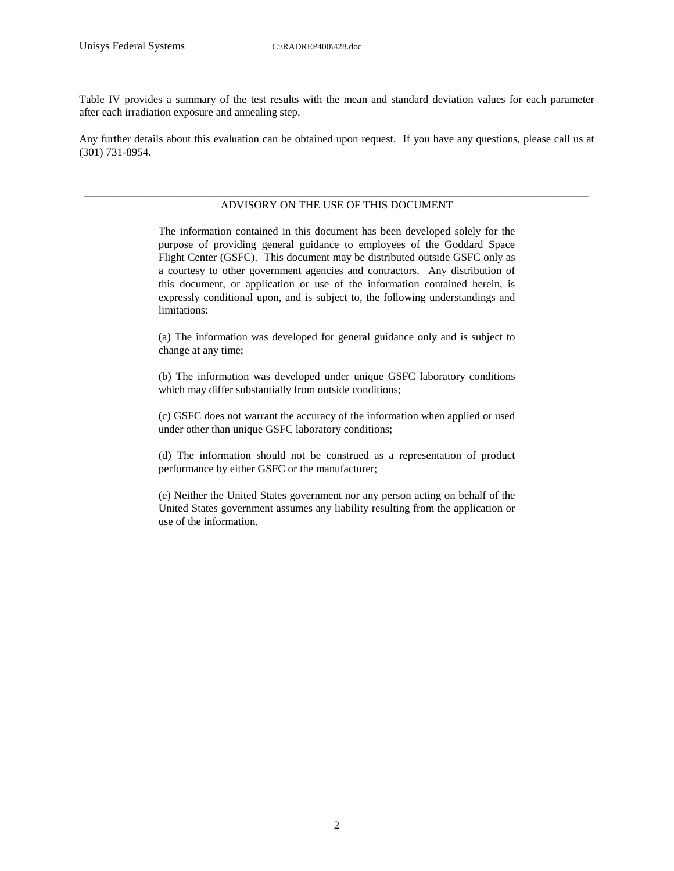Table IV provides a summary of the test results with the mean and standard deviation values for each parameter after each irradiation exposure and annealing step.

Any further details about this evaluation can be obtained upon request. If you have any questions, please call us at (301) 731-8954.

#### \_\_\_\_\_\_\_\_\_\_\_\_\_\_\_\_\_\_\_\_\_\_\_\_\_\_\_\_\_\_\_\_\_\_\_\_\_\_\_\_\_\_\_\_\_\_\_\_\_\_\_\_\_\_\_\_\_\_\_\_\_\_\_\_\_\_\_\_\_\_\_\_\_\_\_\_\_\_\_\_\_\_\_\_\_\_\_\_\_\_\_ ADVISORY ON THE USE OF THIS DOCUMENT

The information contained in this document has been developed solely for the purpose of providing general guidance to employees of the Goddard Space Flight Center (GSFC). This document may be distributed outside GSFC only as a courtesy to other government agencies and contractors. Any distribution of this document, or application or use of the information contained herein, is expressly conditional upon, and is subject to, the following understandings and limitations:

(a) The information was developed for general guidance only and is subject to change at any time;

(b) The information was developed under unique GSFC laboratory conditions which may differ substantially from outside conditions;

(c) GSFC does not warrant the accuracy of the information when applied or used under other than unique GSFC laboratory conditions;

(d) The information should not be construed as a representation of product performance by either GSFC or the manufacturer;

(e) Neither the United States government nor any person acting on behalf of the United States government assumes any liability resulting from the application or use of the information.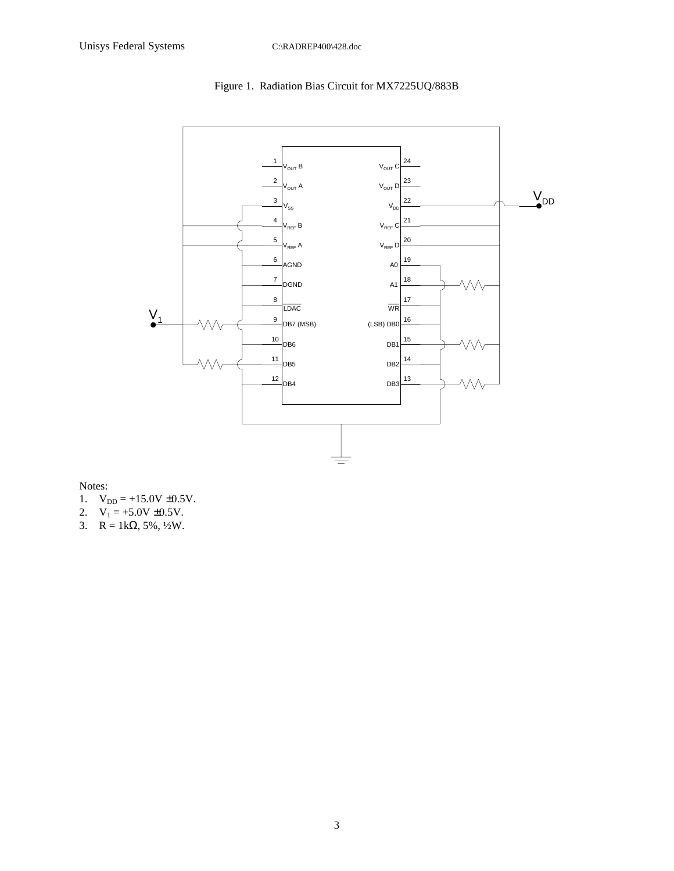



Notes:

- 1.  $V_{DD} = +15.0V \pm 0.5V$ .
- 2.  $V_1 = +5.0V \pm 0.5V$ .
- 3.  $R = 1k\Omega, 5\%, \frac{1}{2}W$ .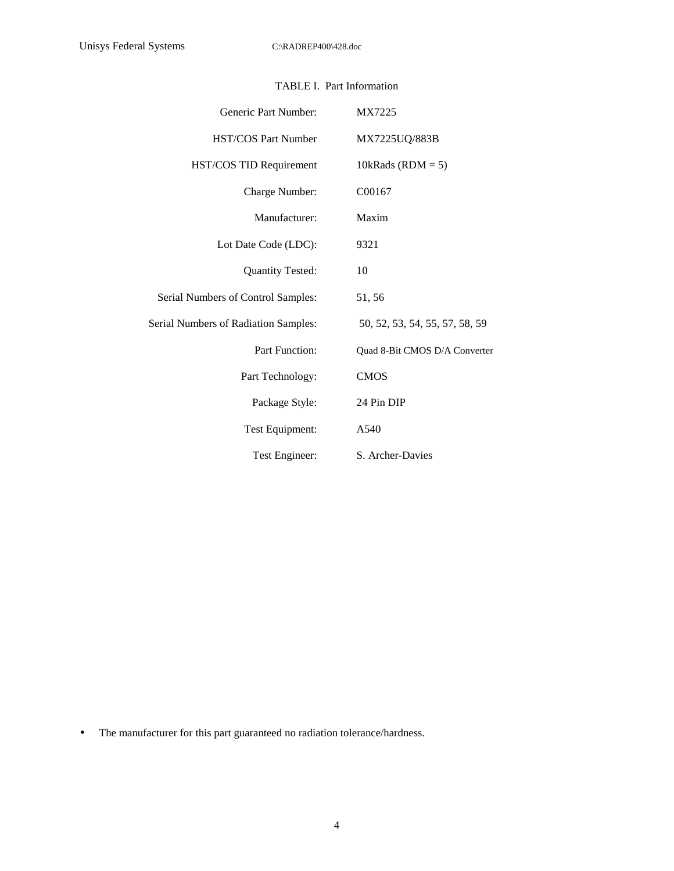| Generic Part Number:                 | MX7225                         |
|--------------------------------------|--------------------------------|
| <b>HST/COS Part Number</b>           | MX7225UQ/883B                  |
| HST/COS TID Requirement              | 10kRads ( $RDM = 5$ )          |
| Charge Number:                       | C00167                         |
| Manufacturer:                        | Maxim                          |
| Lot Date Code (LDC):                 | 9321                           |
| <b>Quantity Tested:</b>              | 10                             |
| Serial Numbers of Control Samples:   | 51,56                          |
| Serial Numbers of Radiation Samples: | 50, 52, 53, 54, 55, 57, 58, 59 |
| Part Function:                       | Quad 8-Bit CMOS D/A Converter  |
| Part Technology:                     | <b>CMOS</b>                    |
| Package Style:                       | 24 Pin DIP                     |
| Test Equipment:                      | A540                           |
| Test Engineer:                       | S. Archer-Davies               |

### TABLE I. Part Information

• The manufacturer for this part guaranteed no radiation tolerance/hardness.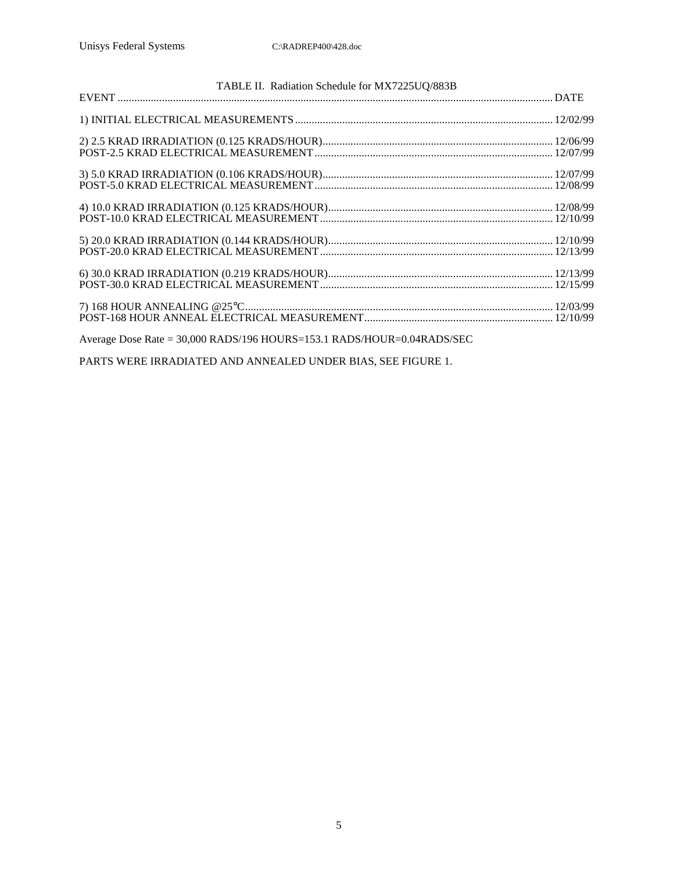| TABLE II. Radiation Schedule for MX7225UQ/883B                         |  |
|------------------------------------------------------------------------|--|
|                                                                        |  |
|                                                                        |  |
|                                                                        |  |
|                                                                        |  |
|                                                                        |  |
|                                                                        |  |
|                                                                        |  |
|                                                                        |  |
|                                                                        |  |
|                                                                        |  |
|                                                                        |  |
|                                                                        |  |
|                                                                        |  |
|                                                                        |  |
|                                                                        |  |
|                                                                        |  |
| Average Dose Rate = 30,000 RADS/196 HOURS=153.1 RADS/HOUR=0.04RADS/SEC |  |
|                                                                        |  |
|                                                                        |  |

PARTS WERE IRRADIATED AND ANNEALED UNDER BIAS, SEE FIGURE 1.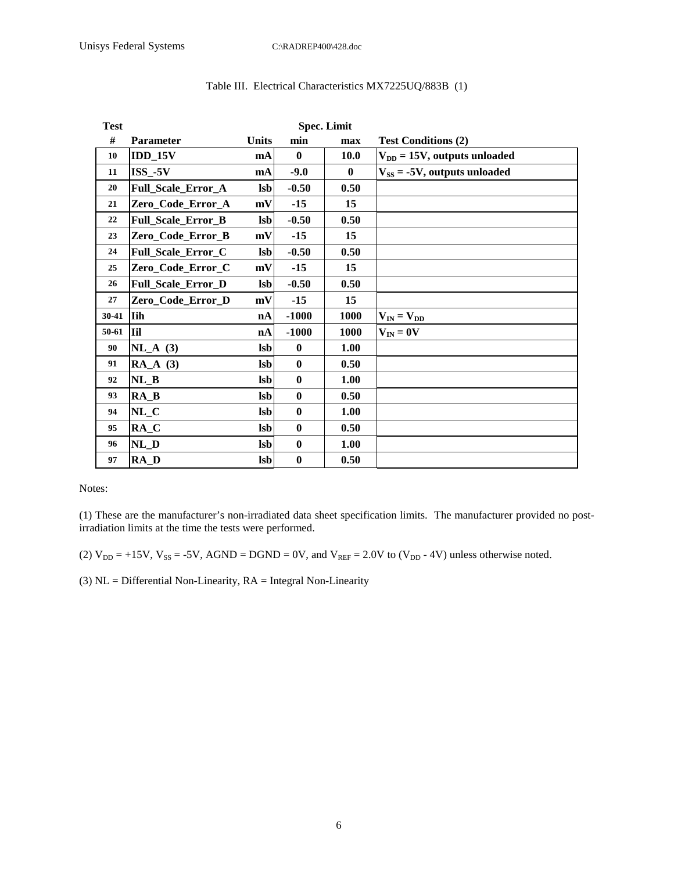| <b>Test</b> |                           |              |              |             |                                   |
|-------------|---------------------------|--------------|--------------|-------------|-----------------------------------|
| #           | <b>Parameter</b>          | <b>Units</b> | min          | max         | <b>Test Conditions (2)</b>        |
| 10          | $IDD_15V$                 | mA           | $\mathbf{0}$ | <b>10.0</b> | $V_{DD} = 15V$ , outputs unloaded |
| 11          | $ISS_{-5}V$               | mA           | $-9.0$       | $\bf{0}$    | $V_{SS} = -5V$ , outputs unloaded |
| 20          | Full_Scale_Error_A        | <b>lsb</b>   | $-0.50$      | 0.50        |                                   |
| 21          | Zero_Code_Error_A         | mV           | $-15$        | 15          |                                   |
| 22          | Full_Scale_Error_B        | <b>lsb</b>   | $-0.50$      | 0.50        |                                   |
| 23          | Zero_Code_Error_B         | mV           | $-15$        | 15          |                                   |
| 24          | Full_Scale_Error_C        | <b>Isb</b>   | $-0.50$      | 0.50        |                                   |
| 25          | Zero_Code_Error_C         | mV           | $-15$        | 15          |                                   |
| 26          | <b>Full_Scale_Error_D</b> | <b>lsb</b>   | $-0.50$      | 0.50        |                                   |
| 27          | Zero_Code_Error_D         | mV           | $-15$        | 15          |                                   |
| 30-41       | <b>I</b> ih               | nA           | $-1000$      | 1000        | $V_{IN} = V_{DD}$                 |
| $50 - 61$   | <b>I</b>                  | nA           | $-1000$      | <b>1000</b> | $V_{IN} = 0V$                     |
| 90          | $NL_A$ (3)                | <b>lsb</b>   | $\mathbf{0}$ | <b>1.00</b> |                                   |
| 91          | $RA_A$ (3)                | <b>lsb</b>   | $\mathbf{0}$ | 0.50        |                                   |
| 92          | $NL_B$                    | <b>lsb</b>   | $\mathbf{0}$ | 1.00        |                                   |
| 93          | $RA$ <sub>B</sub>         | <b>lsb</b>   | $\mathbf{0}$ | 0.50        |                                   |
| 94          | $NL_C$                    | <b>lsb</b>   | $\mathbf{0}$ | 1.00        |                                   |
| 95          | $RA_C$                    | <b>lsb</b>   | $\mathbf{0}$ | 0.50        |                                   |
| 96          | $NL_D$                    | <b>lsb</b>   | $\bf{0}$     | 1.00        |                                   |
| 97          | $RA$ <sub>D</sub>         | <b>lsb</b>   | $\bf{0}$     | 0.50        |                                   |

#### Table III. Electrical Characteristics MX7225UQ/883B (1)

Notes:

(1) These are the manufacturer's non-irradiated data sheet specification limits. The manufacturer provided no postirradiation limits at the time the tests were performed.

(2)  $V_{DD} = +15V$ ,  $V_{SS} = -5V$ ,  $AGND = DGND = 0V$ , and  $V_{REF} = 2.0V$  to  $(V_{DD} - 4V)$  unless otherwise noted.

(3)  $NL =$  Differential Non-Linearity,  $RA =$  Integral Non-Linearity